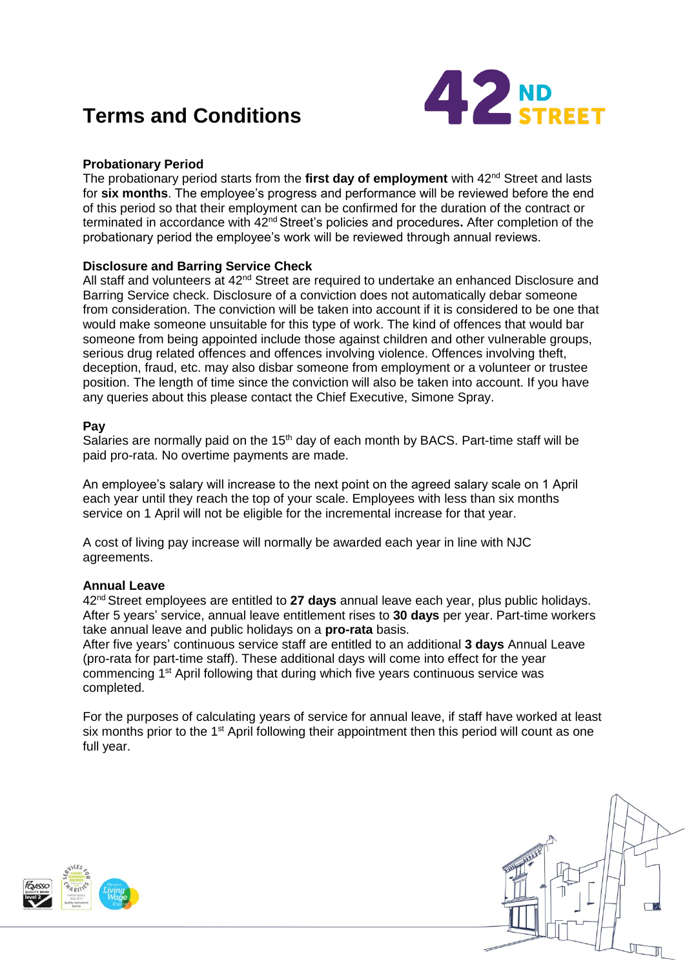# **Terms and Conditions**



# **Probationary Period**

The probationary period starts from the **first day of employment** with 42nd Street and lasts for **six months**. The employee's progress and performance will be reviewed before the end of this period so that their employment can be confirmed for the duration of the contract or terminated in accordance with 42nd Street's policies and procedures**.** After completion of the probationary period the employee's work will be reviewed through annual reviews.

# **Disclosure and Barring Service Check**

All staff and volunteers at 42<sup>nd</sup> Street are required to undertake an enhanced Disclosure and Barring Service check. Disclosure of a conviction does not automatically debar someone from consideration. The conviction will be taken into account if it is considered to be one that would make someone unsuitable for this type of work. The kind of offences that would bar someone from being appointed include those against children and other vulnerable groups, serious drug related offences and offences involving violence. Offences involving theft, deception, fraud, etc. may also disbar someone from employment or a volunteer or trustee position. The length of time since the conviction will also be taken into account. If you have any queries about this please contact the Chief Executive, Simone Spray.

## **Pay**

Salaries are normally paid on the 15<sup>th</sup> day of each month by BACS. Part-time staff will be paid pro-rata. No overtime payments are made.

An employee's salary will increase to the next point on the agreed salary scale on 1 April each year until they reach the top of your scale. Employees with less than six months service on 1 April will not be eligible for the incremental increase for that year.

A cost of living pay increase will normally be awarded each year in line with NJC agreements.

## **Annual Leave**

42nd Street employees are entitled to **27 days** annual leave each year, plus public holidays. After 5 years' service, annual leave entitlement rises to **30 days** per year. Part-time workers take annual leave and public holidays on a **pro-rata** basis.

After five years' continuous service staff are entitled to an additional **3 days** Annual Leave (pro-rata for part-time staff). These additional days will come into effect for the year commencing 1st April following that during which five years continuous service was completed.

For the purposes of calculating years of service for annual leave, if staff have worked at least six months prior to the 1<sup>st</sup> April following their appointment then this period will count as one full year.